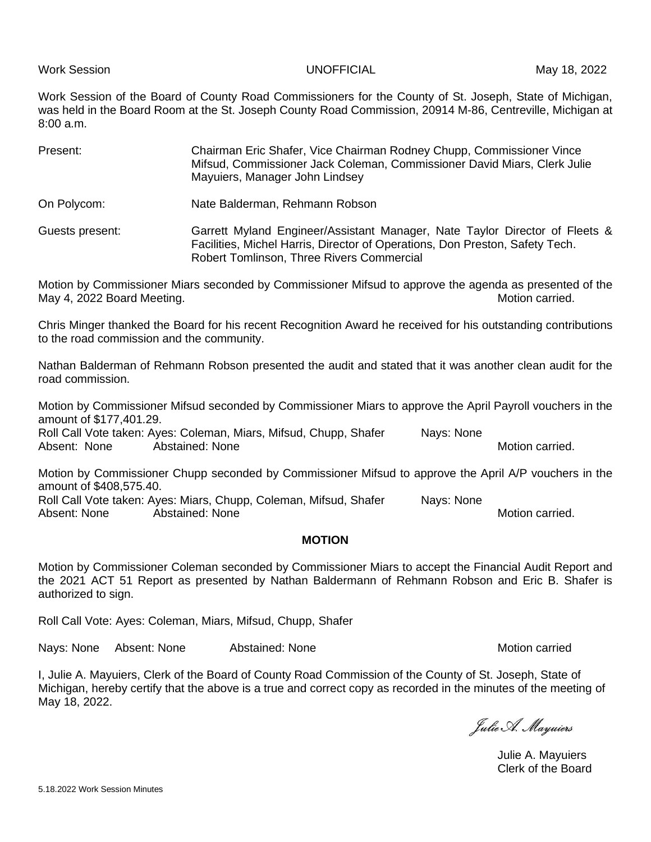Work Session **National May 18, 2022** Mork Session **National May 18, 2022** 

Work Session of the Board of County Road Commissioners for the County of St. Joseph, State of Michigan, was held in the Board Room at the St. Joseph County Road Commission, 20914 M-86, Centreville, Michigan at 8:00 a.m.

| Present:        | Chairman Eric Shafer, Vice Chairman Rodney Chupp, Commissioner Vince<br>Mifsud, Commissioner Jack Coleman, Commissioner David Miars, Clerk Julie<br>Mayuiers, Manager John Lindsey                       |
|-----------------|----------------------------------------------------------------------------------------------------------------------------------------------------------------------------------------------------------|
| On Polycom:     | Nate Balderman, Rehmann Robson                                                                                                                                                                           |
| Guests present: | Garrett Myland Engineer/Assistant Manager, Nate Taylor Director of Fleets &<br>Facilities, Michel Harris, Director of Operations, Don Preston, Safety Tech.<br>Robert Tomlinson, Three Rivers Commercial |

Motion by Commissioner Miars seconded by Commissioner Mifsud to approve the agenda as presented of the May 4, 2022 Board Meeting. Motion carried.

Chris Minger thanked the Board for his recent Recognition Award he received for his outstanding contributions to the road commission and the community.

Nathan Balderman of Rehmann Robson presented the audit and stated that it was another clean audit for the road commission.

Motion by Commissioner Mifsud seconded by Commissioner Miars to approve the April Payroll vouchers in the amount of \$177,401.29.

Roll Call Vote taken: Ayes: Coleman, Miars, Mifsud, Chupp, Shafer Nays: None Absent: None Abstained: None Abstantied: None Motion carried.

Motion by Commissioner Chupp seconded by Commissioner Mifsud to approve the April A/P vouchers in the amount of \$408,575.40.

Roll Call Vote taken: Ayes: Miars, Chupp, Coleman, Mifsud, Shafer Nays: None Absent: None Abstained: None Abstant: Abstant: Absent: None Motion carried.

## **MOTION**

Motion by Commissioner Coleman seconded by Commissioner Miars to accept the Financial Audit Report and the 2021 ACT 51 Report as presented by Nathan Baldermann of Rehmann Robson and Eric B. Shafer is authorized to sign.

Roll Call Vote: Ayes: Coleman, Miars, Mifsud, Chupp, Shafer

Nays: None Absent: None Abstained: None Motion carried

I, Julie A. Mayuiers, Clerk of the Board of County Road Commission of the County of St. Joseph, State of Michigan, hereby certify that the above is a true and correct copy as recorded in the minutes of the meeting of May 18, 2022.

Julie A. Mayuiers

Julie A. Mayuiers Clerk of the Board